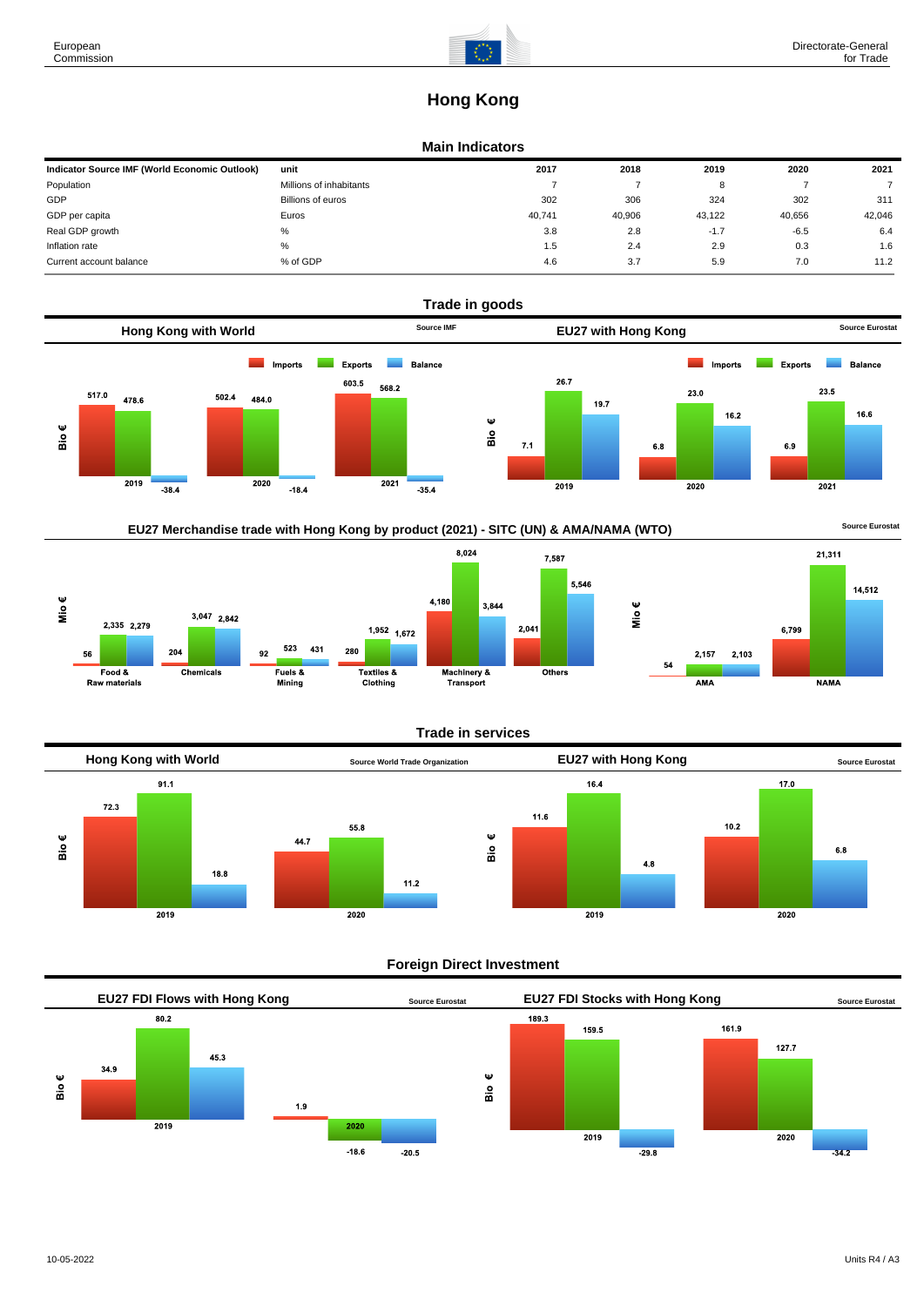# **Hong Kong**

### **Main Indicators**

| Indicator Source IMF (World Economic Outlook) | unit                    | 2017   | 2018   | 2019   | 2020   | 2021   |
|-----------------------------------------------|-------------------------|--------|--------|--------|--------|--------|
| Population                                    | Millions of inhabitants |        |        |        |        |        |
| GDP                                           | Billions of euros       | 302    | 306    | 324    | 302    | 311    |
| GDP per capita                                | Euros                   | 40.741 | 40,906 | 43.122 | 40.656 | 42,046 |
| Real GDP growth                               | %                       | 3.8    | 2.8    | $-1.7$ | $-6.5$ | 6.4    |
| Inflation rate                                | %                       | 1.5    | 2.4    | 2.9    | 0.3    | 1.6    |
| Current account balance                       | % of GDP                | 4.6    | 3.7    | 5.9    | 7.0    | 11.2   |





# **Trade in services**



# **Foreign Direct Investment**